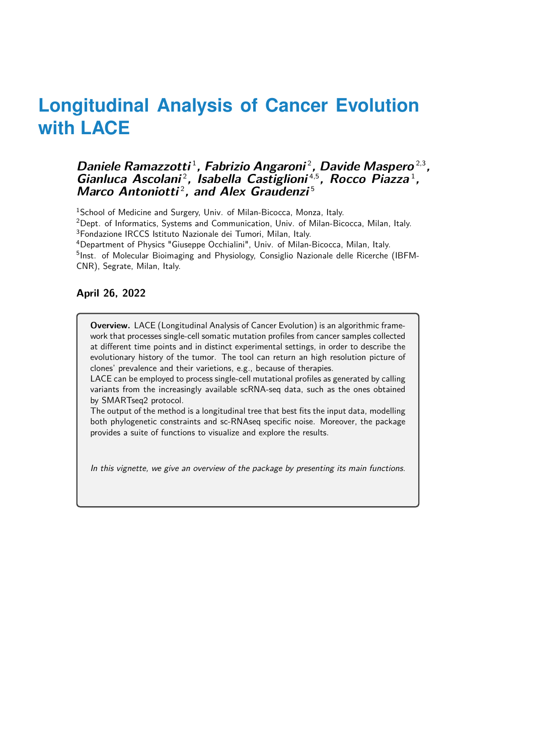#### Daniele Ramazzotti<sup>1</sup>, Fabrizio Angaroni<sup>2</sup>, Davide Maspero<sup>2,3</sup>, Gianluca Ascolani<sup>2</sup>, Isabella Castiglioni<sup>4,5</sup>, Rocco Piazza<sup>1</sup>, Marco Antoniotti<sup>2</sup>, and Alex Graudenzi<sup>5</sup>

<sup>1</sup>School of Medicine and Surgery, Univ. of Milan-Bicocca, Monza, Italy.

<sup>2</sup>Dept. of Informatics, Systems and Communication, Univ. of Milan-Bicocca, Milan, Italy. <sup>3</sup>Fondazione IRCCS Istituto Nazionale dei Tumori, Milan, Italy.

<sup>4</sup>Department of Physics "Giuseppe Occhialini", Univ. of Milan-Bicocca, Milan, Italy.

<sup>5</sup>Inst. of Molecular Bioimaging and Physiology, Consiglio Nazionale delle Ricerche (IBFM-CNR), Segrate, Milan, Italy.

#### **April 26, 2022**

**Overview.** LACE (Longitudinal Analysis of Cancer Evolution) is an algorithmic framework that processes single-cell somatic mutation profiles from cancer samples collected at different time points and in distinct experimental settings, in order to describe the evolutionary history of the tumor. The tool can return an high resolution picture of clones' prevalence and their varietions, e.g., because of therapies.

LACE can be employed to process single-cell mutational profiles as generated by calling variants from the increasingly available scRNA-seq data, such as the ones obtained by SMARTseq2 protocol.

The output of the method is a longitudinal tree that best fits the input data, modelling both phylogenetic constraints and sc-RNAseq specific noise. Moreover, the package provides a suite of functions to visualize and explore the results.

In this vignette, we give an overview of the package by presenting its main functions.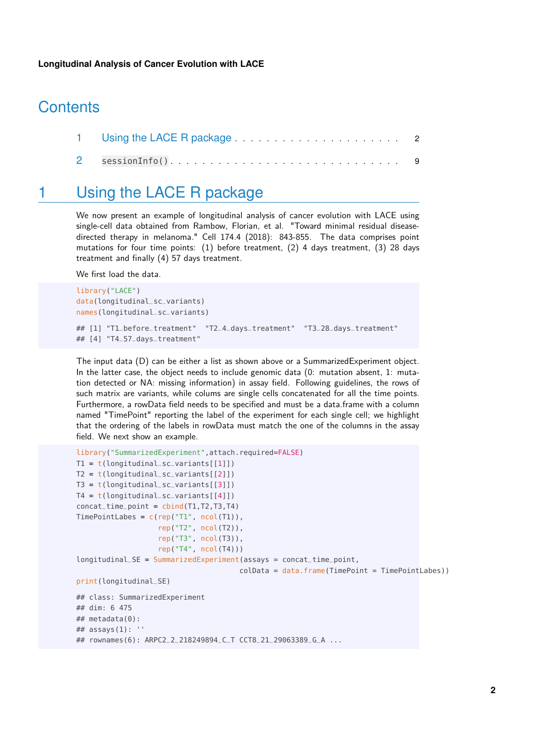# **Contents**

<span id="page-1-0"></span>

### 1 Using the LACE R package

We now present an example of longitudinal analysis of cancer evolution with LACE using single-cell data obtained from Rambow, Florian, et al. "Toward minimal residual diseasedirected therapy in melanoma." Cell 174.4 (2018): 843-855. The data comprises point mutations for four time points: (1) before treatment, (2) 4 days treatment, (3) 28 days treatment and finally (4) 57 days treatment.

We first load the data.

```
library("LACE")
data(longitudinal_sc_variants)
names(longitudinal_sc_variants)
## [1] "T1_before_treatment" "T2_4_days_treatment" "T3_28_days_treatment"
## [4] "T4_57_days_treatment"
```
The input data (D) can be either a list as shown above or a SummarizedExperiment object. In the latter case, the object needs to include genomic data (0: mutation absent, 1: mutation detected or NA: missing information) in assay field. Following guidelines, the rows of such matrix are variants, while colums are single cells concatenated for all the time points. Furthermore, a rowData field needs to be specified and must be a data.frame with a column named "TimePoint" reporting the label of the experiment for each single cell; we highlight that the ordering of the labels in rowData must match the one of the columns in the assay field. We next show an example.

```
library("SummarizedExperiment",attach.required=FALSE)
T1 = t(longitudinal_sc_variants[[1]])T2 = t(longitudinal_sc_variants[[2]])
T3 = t(longitudinal_sc_variants[[3]])T4 = t(longitudinal_sc_variants[[4]])
concat_time\_point = <math>cbind(T1, T2, T3, T4)</math>TimePointLabes = c(rep("T1", ncol(T1)),
                   rep("T2", ncol(T2)),
                   rep("T3", ncol(T3)),
                   rep("T4", ncol(T4)))
longitudinal_SE = SummarizedExperiment(assays = concat_time_point,
                                      colData = data frame(TimePoint = TimePointLabes))print(longitudinal_SE)
## class: SummarizedExperiment
## dim: 6 475
## metadata(0):
## assays(1): "## rownames(6): ARPC2_2_218249894_C_T CCT8_21_29063389_G_A ...
```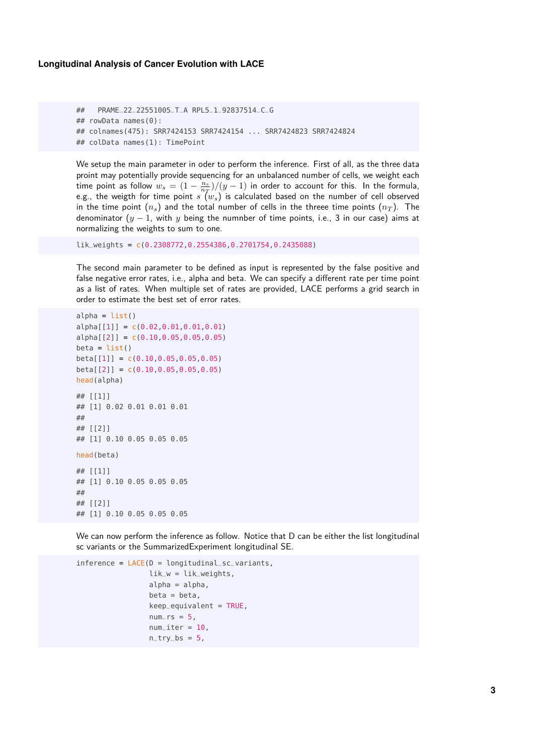```
## PRAME_22_22551005_T_A RPL5_1_92837514_C_G
## rowData names(0):
## colnames(475): SRR7424153 SRR7424154 ... SRR7424823 SRR7424824
## colData names(1): TimePoint
```
We setup the main parameter in oder to perform the inference. First of all, as the three data proint may potentially provide sequencing for an unbalanced number of cells, we weight each time point as follow  $w_s = (1 - \frac{n_s}{n_T})/(y - 1)$  in order to account for this. In the formula, e.g., the weigth for time point  $s'(w_s)$  is calculated based on the number of cell observed in the time point  $(n_s)$  and the total number of cells in the threee time points  $(n_T)$ . The denominator  $(y - 1)$ , with y being the numnber of time points, i.e., 3 in our case) aims at normalizing the weights to sum to one.

lik\_weights = c(0.2308772,0.2554386,0.2701754,0.2435088)

The second main parameter to be defined as input is represented by the false positive and false negative error rates, i.e., alpha and beta. We can specify a different rate per time point as a list of rates. When multiple set of rates are provided, LACE performs a grid search in order to estimate the best set of error rates.

```
alpha = list()alpha[[1]] = c(0.02, 0.01, 0.01, 0.01)alpha[[2]] = c(0.10, 0.05, 0.05, 0.05)beta = list()beta[[1]] = c(0.10, 0.05, 0.05, 0.05)beta[[2]] = c(0.10, 0.05, 0.05, 0.05)head(alpha)
## [[1]]
## [1] 0.02 0.01 0.01 0.01
##
## [[2]]
## [1] 0.10 0.05 0.05 0.05
head(beta)
## [[1]]
## [1] 0.10 0.05 0.05 0.05
##
## [[2]]
## [1] 0.10 0.05 0.05 0.05
```
We can now perform the inference as follow. Notice that D can be either the list longitudinal sc variants or the SummarizedExperiment longitudinal SE.

```
inference = LACE(D = longitudinal_sc_variants,lik_w = lik_weights,
                 alpha = alpha,
                 beta = beta,keep_equivalent = TRUE,
                 num\_rs = 5,
                 num\_iter = 10,
                 n_{-}try_{-}bs = 5,
```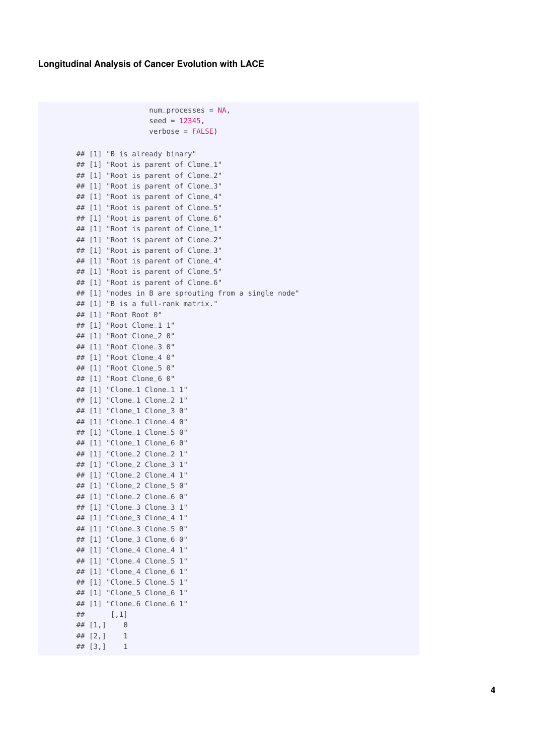```
num_processes = NA,
                 seed = 12345,
                 verbose = FALSE)
## [1] "B is already binary"
## [1] "Root is parent of Clone_1"
## [1] "Root is parent of Clone_2"
## [1] "Root is parent of Clone_3"
## [1] "Root is parent of Clone_4"
## [1] "Root is parent of Clone_5"
## [1] "Root is parent of Clone_6"
## [1] "Root is parent of Clone_1"
## [1] "Root is parent of Clone_2"
## [1] "Root is parent of Clone_3"
## [1] "Root is parent of Clone_4"
## [1] "Root is parent of Clone_5"
## [1] "Root is parent of Clone_6"
## [1] "nodes in B are sprouting from a single node"
## [1] "B is a full-rank matrix."
## [1] "Root Root 0"
## [1] "Root Clone_1 1"
## [1] "Root Clone_2 0"
## [1] "Root Clone_3 0"
## [1] "Root Clone_4 0"
## [1] "Root Clone_5 0"
## [1] "Root Clone_6 0"
## [1] "Clone_1 Clone_1 1"
## [1] "Clone_1 Clone_2 1"
## [1] "Clone_1 Clone_3 0"
## [1] "Clone_1 Clone_4 0"
## [1] "Clone_1 Clone_5 0"
## [1] "Clone_1 Clone_6 0"
## [1] "Clone_2 Clone_2 1"
## [1] "Clone_2 Clone_3 1"
## [1] "Clone_2 Clone_4 1"
## [1] "Clone_2 Clone_5 0"
## [1] "Clone_2 Clone_6 0"
## [1] "Clone_3 Clone_3 1"
## [1] "Clone_3 Clone_4 1"
## [1] "Clone_3 Clone_5 0"
## [1] "Clone_3 Clone_6 0"
## [1] "Clone_4 Clone_4 1"
## [1] "Clone_4 Clone_5 1"
## [1] "Clone_4 Clone_6 1"
## [1] "Clone_5 Clone_5 1"
## [1] "Clone_5 Clone_6 1"
## [1] "Clone_6 Clone_6 1"
## [,1]
\# \# [1,] 0
## [2, 1 \ 1\# \# [3,] 1
```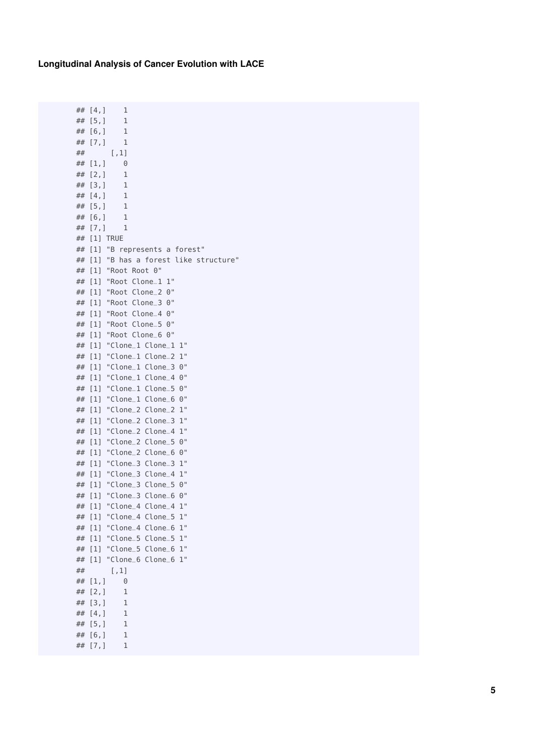$\# \# [4,]$  1

## [5,] 1 ## [6,] 1 ## [7,] 1 ## [,1]  $\begin{array}{cc} \# \# & [1,] & 0 \\ \# \# & [2,] & 1 \end{array}$ ##  $[2,]$  $\#$   $[3,]$  1<br>  $\#$   $[4,]$  1  $\#$   $[4,]$ ## [5,] 1 ## [6,] 1  $\#$   $[7,]$  1 ## [1] TRUE ## [1] "B represents a forest" ## [1] "B has a forest like structure" ## [1] "Root Root 0" ## [1] "Root Clone \_1 1" ## [1] "Root Clone \_2 0" ## [1] "Root Clone \_3 0" ## [1] "Root Clone \_4 0" ## [1] "Root Clone \_5 0" ## [1] "Root Clone \_6 0" ## [1] "Clone \_1 Clone \_1 1" ## [1] "Clone \_1 Clone \_2 1" ## [1] "Clone \_1 Clone \_3 0" ## [1] "Clone \_1 Clone \_4 0" ## [1] "Clone \_1 Clone \_5 0" ## [1] "Clone \_1 Clone \_6 0" ## [1] "Clone \_2 Clone \_2 1" ## [1] "Clone \_2 Clone \_3 1" ## [1] "Clone \_2 Clone \_4 1" ## [1] "Clone \_2 Clone \_5 0" ## [1] "Clone \_2 Clone \_6 0" ## [1] "Clone \_3 Clone \_3 1" ## [1] "Clone \_3 Clone \_4 1" ## [1] "Clone \_3 Clone \_5 0" ## [1] "Clone \_3 Clone \_6 0" ## [1] "Clone \_4 Clone \_4 1" ## [1] "Clone \_4 Clone \_5 1" ## [1] "Clone \_4 Clone \_6 1" ## [1] "Clone\_5 Clone\_5 1" ## [1] "Clone \_5 Clone \_6 1" ## [1] "Clone\_6 Clone\_6 1" ## [,1] ## [1,] 0  $##$  [2, ] 1<br> $##$  [3, ] 1  $\begin{array}{cc} \# \# & [3,] & 1 \\ \# \# & [4,] & 1 \end{array}$  $\#$   $[4, 1]$ ## [5,] 1 ## [6,] 1  $\#$   $[7,]$  1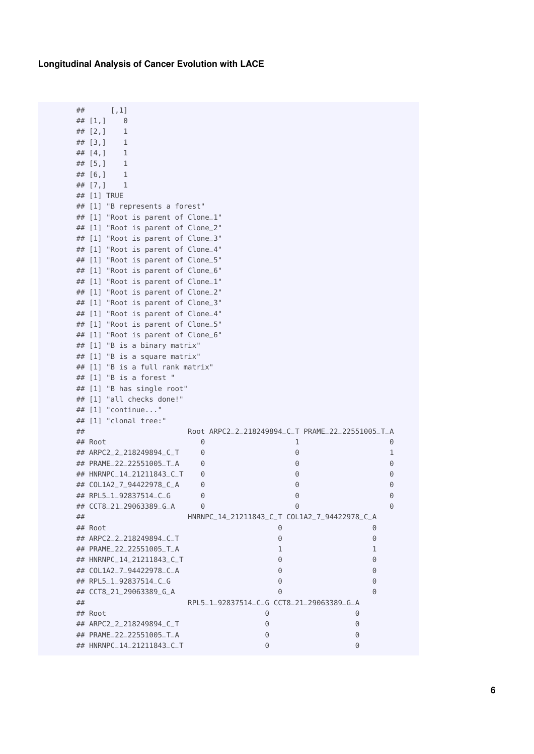```
## [,1]
\# \# [1,] 0
## [2,] 1
## [3,] 1
\# \# [4,] 1
\# [5,] 1
\# \# [6, ] 1<br>\# \# [7, ] 1
\# [7,]## [1] TRUE
## [1] "B represents a forest"
## [1] "Root is parent of Clone_1"
## [1] "Root is parent of Clone_2"
## [1] "Root is parent of Clone_3"
## [1] "Root is parent of Clone_4"
## [1] "Root is parent of Clone_5"
## [1] "Root is parent of Clone_6"
## [1] "Root is parent of Clone_1"
## [1] "Root is parent of Clone_2"
## [1] "Root is parent of Clone_3"
## [1] "Root is parent of Clone_4"
## [1] "Root is parent of Clone_5"
## [1] "Root is parent of Clone_6"
## [1] "B is a binary matrix"
## [1] "B is a square matrix"
## [1] "B is a full rank matrix"
## [1] "B is a forest "
## [1] "B has single root"
## [1] "all checks done!"
## [1] "continue..."
## [1] "clonal tree:"
## Root ARPC2_2_218249894_C_T PRAME_22_22551005_T_A
## Root 0 1 0
## ARPC2_2_218249894_C_T 0 0 0 0 1
## PRAME_22_22551005_T_A 0 0 0
## HNRNPC_14_21211843_C_T 0 0 0
## COL1A2_7_94422978_C_A 0 0 0
## RPL5_1_92837514_C_G 0 0 0
## CCT8_21_29063389_G_A 0 0 0
## HNRNPC_14_21211843_C_T COL1A2_7_94422978_C_A
## Root 0 0
## ARPC2_2_218249894_C_T 0 0
## PRAME_22_22551005_T_A 1 1
## HNRNPC_14_21211843_C_T 0 0
## COL1A2_7_94422978_C_A 0 0
## RPL5_1_92837514_C_G 0 0
## CCT8_21_29063389_G_A 0 0
## RPL5_1_92837514_C_G CCT8_21_29063389_G_A
## Root 0 0
## ARPC2_2_218249894_C_T 0 0
## PRAME_22_22551005_T_A 0 0
## HNRNPC_14_21211843_C_T 0 0
```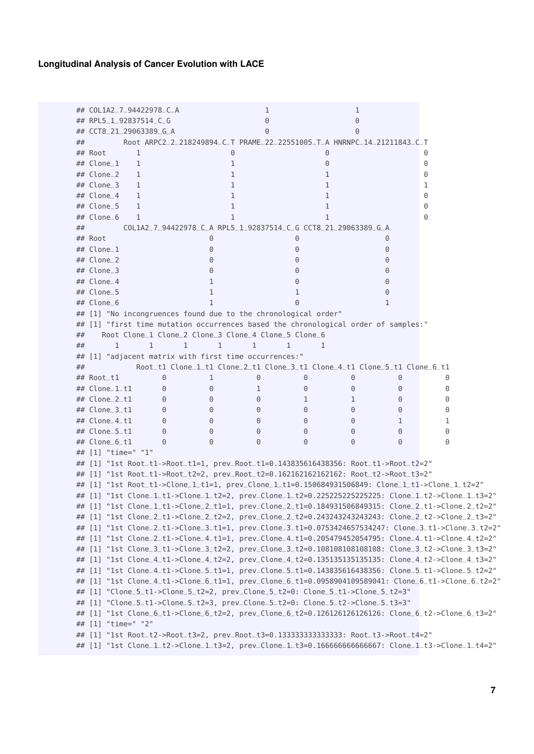```
## COL1A2_7_94422978_C_A 1 1
## RPL5_1_92837514_C_G 0 0
## CCT8_21_29063389_G_A 0 0
## Root ARPC2_2_218249894_C_T PRAME_22_22551005_T_A HNRNPC_14_21211843_C_T
## Root 1 0 0 0
## Clone_1 1 1 0 0
## Clone_2 1 1 0
## Clone_3 1 1 1 1
## Clone_4 1 1 0
## Clone_5 1 1 0
## Clone_6 1 1 1 0
## COL1A2_7_94422978_C_A RPL5_1_92837514_C_G CCT8_21_29063389_G_A
## Root 0 0 0
## Clone_1 0 0 0
## Clone_2 0 0 0
## Clone_3 0 0 0
## Clone_4 1 0 0
\## Clone_5 1 1 0
## Clone_6 1 0 0 1
## [1] "No incongruences found due to the chronological order"
## [1] "first time mutation occurrences based the chronological order of samples:"
## Root Clone_1 Clone_2 Clone_3 Clone_4 Clone_5 Clone_6
## 1 1 1 1 1 1 1
## [1] "adjacent matrix with first time occurrences:"
## Root_t1 Clone_1_t1 Clone_2_t1 Clone_3_t1 Clone_4_t1 Clone_5_t1 Clone_6_t1
## Root_t1 0 1 0 0 0 0 0
## Clone_1_t1 0 0 1 0 0 0 0
## Clone_2_t1 0 0 0 1 1 0 0
## Clone_3_t1 0 0 0 0 0 0 0
\## Clone 4 t 1 0 0 0 0 0 0 0 1 1 1
## Clone_5_t1 0 0 0 0 0 0 0
## Clone_6_t1 0 0 0 0 0 0 0
## [1] "time=" "1"
## [1] "1st Root_t1->Root_t1=1, prev_Root_t1=0.143835616438356: Root_t1->Root_t2=2"
## [1] "1st Root_t1->Root_t2=2, prev_Root_t2=0.162162162162162: Root_t2->Root_t3=2"
## [1] "1st Root_t1->Clone_1_t1=1, prev_Clone_1_t1=0.150684931506849: Clone_1_t1->Clone_1_t2=2"
## [1] "1st Clone_1_t1->Clone_1_t2=2, prev_Clone_1_t2=0.225225225225225: Clone_1_t2->Clone_1_t3=2"
## [1] "1st Clone_1_t1->Clone_2_t1=1, prev_Clone_2_t1=0.184931506849315: Clone_2_t1->Clone_2_t2=2"
## [1] "1st Clone_2_t1->Clone_2_t2=2, prev_Clone_2_t2=0.243243243243243: Clone_2_t2->Clone_2_t3=2"
## [1] "1st Clone_2_t1->Clone_3_t1=1, prev_Clone_3_t1=0.0753424657534247: Clone_3_t1->Clone_3_t2=2"
## [1] "1st Clone_2_t1->Clone_4_t1=1, prev_Clone_4_t1=0.205479452054795: Clone_4_t1->Clone_4_t2=2"
## [1] "1st Clone_3_t1->Clone_3_t2=2, prev_Clone_3_t2=0.108108108108108: Clone_3_t2->Clone_3_t3=2"
## [1] "1st Clone_4_t1->Clone_4_t2=2, prev_Clone_4_t2=0.135135135135135: Clone_4_t2->Clone_4_t3=2"
## [1] "1st Clone_4_t1->Clone_5_t1=1, prev_Clone_5_t1=0.143835616438356: Clone_5_t1->Clone_5_t2=2"
## [1] "1st Clone_4_t1->Clone_6_t1=1, prev_Clone_6_t1=0.0958904109589041: Clone_6_t1->Clone_6_t2=2"
## [1] "Clone_5_t1->Clone_5_t2=2, prev_Clone_5_t2=0: Clone_5_t1->Clone_5_t2=3"
## [1] "Clone_5_t1->Clone_5_t2=3, prev_Clone_5_t2=0: Clone_5_t2->Clone_5_t3=3"
## [1] "1st Clone_6_t1->Clone_6_t2=2, prev_Clone_6_t2=0.126126126126126: Clone_6_t2->Clone_6_t3=2"
## [1] "time=" "2"
## [1] "1st Root_t2->Root_t3=2, prev_Root_t3=0.133333333333333: Root_t3->Root_t4=2"
## [1] "1st Clone_1_t2->Clone_1_t3=2, prev_Clone_1_t3=0.166666666666667: Clone_1_t3->Clone_1_t4=2"
```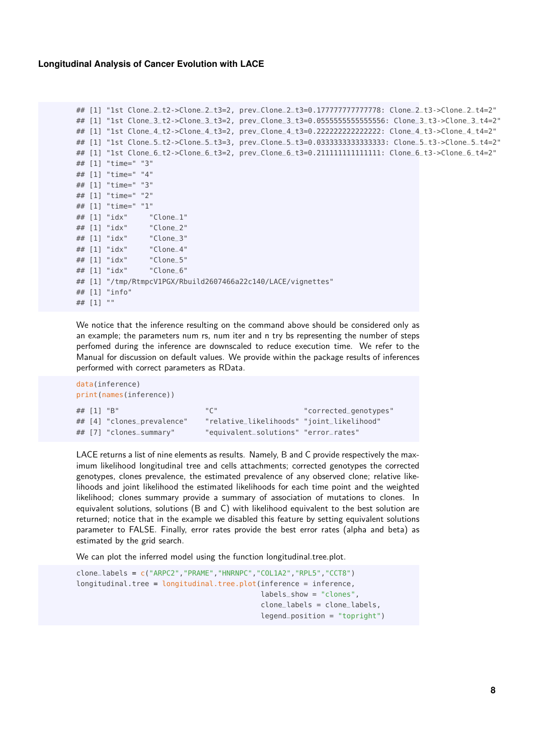```
## [1] "1st Clone_2_t2->Clone_2_t3=2, prev_Clone_2_t3=0.177777777777778: Clone_2_t3->Clone_2_t4=2"
## [1] "1st Clone_3_t2->Clone_3_t3=2, prev_Clone_3_t3=0.0555555555555556: Clone_3_t3->Clone_3_t4=2"
## [1] "1st Clone_4_t2->Clone_4_t3=2, prev_Clone_4_t3=0.222222222222222: Clone_4_t3->Clone_4_t4=2"
## [1] "1st Clone_5_t2->Clone_5_t3=3, prev_Clone_5_t3=0.0333333333333333: Clone_5_t3->Clone_5_t4=2"
## [1] "1st Clone_6_t2->Clone_6_t3=2, prev_Clone_6_t3=0.211111111111111: Clone_6_t3->Clone_6_t4=2"
## [1] "time=" "3"
## [1] "time=" "4"
## [1] "time=" "3"
## [1] "time=" "2"
## [1] "time=" "1"
## [1] "idx" "Clone_1"
## [1] "idx" "Clone_2"
## [1] "idx" "Clone_3"
## [1] "idx" "Clone_4"
## [1] "idx" "Clone_5"
## [1] "idx" "Clone_6"
## [1] "/tmp/RtmpcV1PGX/Rbuild2607466a22c140/LACE/vignettes"
## [1] "info"
## [1] ""
```
We notice that the inference resulting on the command above should be considered only as an example; the parameters num rs, num iter and n try bs representing the number of steps perfomed during the inference are downscaled to reduce execution time. We refer to the Manual for discussion on default values. We provide within the package results of inferences performed with correct parameters as RData.

```
data(inference)
print(names(inference))
## [1] "B" "C" "corrected_genotypes"
## [4] "clones_prevalence" "relative_likelihoods" "joint_likelihood"
## [7] "clones_summary" "equivalent_solutions" "error_rates"
```
LACE returns a list of nine elements as results. Namely, B and C provide respectively the maximum likelihood longitudinal tree and cells attachments; corrected genotypes the corrected genotypes, clones prevalence, the estimated prevalence of any observed clone; relative likelihoods and joint likelihood the estimated likelihoods for each time point and the weighted likelihood; clones summary provide a summary of association of mutations to clones. In equivalent solutions, solutions (B and C) with likelihood equivalent to the best solution are returned; notice that in the example we disabled this feature by setting equivalent solutions parameter to FALSE. Finally, error rates provide the best error rates (alpha and beta) as estimated by the grid search.

We can plot the inferred model using the function longitudinal.tree.plot.

```
clone_labels = c("ARPC2","PRAME","HNRNPC","COL1A2","RPL5","CCT8")
longitudinal.tree = longitudinal.tree.plot(inference = inference,
                                           labels_show = "clones",
                                           clone_labels = clone_labels,
                                           legend_position = "topright")
```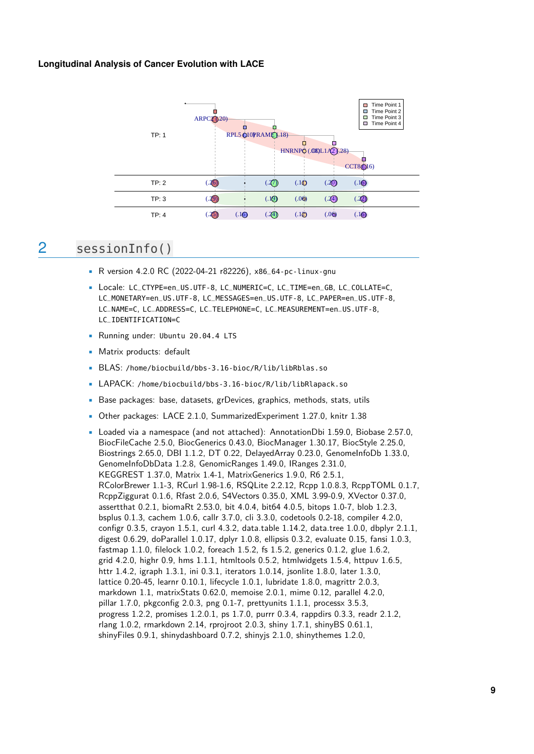

## <span id="page-8-0"></span>2 sessionInfo()

- R version 4.2.0 RC (2022-04-21 r82226), x86\_64-pc-linux-gnu
- Locale: LC\_CTYPE=en\_US.UTF-8, LC\_NUMERIC=C, LC\_TIME=en\_GB, LC\_COLLATE=C, LC\_MONETARY=en\_US.UTF-8, LC\_MESSAGES=en\_US.UTF-8, LC\_PAPER=en\_US.UTF-8, LC\_NAME=C, LC\_ADDRESS=C, LC\_TELEPHONE=C, LC\_MEASUREMENT=en\_US.UTF-8, LC\_IDENTIFICATION=C
- Running under: Ubuntu 20.04.4 LTS
- Matrix products: default
- BLAS: /home/biocbuild/bbs-3.16-bioc/R/lib/libRblas.so
- LAPACK: /home/biocbuild/bbs-3.16-bioc/R/lib/libRlapack.so
- Base packages: base, datasets, grDevices, graphics, methods, stats, utils
- Other packages: LACE 2.1.0, SummarizedExperiment 1.27.0, knitr 1.38
- Loaded via a namespace (and not attached): AnnotationDbi 1.59.0, Biobase 2.57.0, BiocFileCache 2.5.0, BiocGenerics 0.43.0, BiocManager 1.30.17, BiocStyle 2.25.0, Biostrings 2.65.0, DBI 1.1.2, DT 0.22, DelayedArray 0.23.0, GenomeInfoDb 1.33.0, GenomeInfoDbData 1.2.8, GenomicRanges 1.49.0, IRanges 2.31.0, KEGGREST 1.37.0, Matrix 1.4-1, MatrixGenerics 1.9.0, R6 2.5.1, RColorBrewer 1.1-3, RCurl 1.98-1.6, RSQLite 2.2.12, Rcpp 1.0.8.3, RcppTOML 0.1.7, RcppZiggurat 0.1.6, Rfast 2.0.6, S4Vectors 0.35.0, XML 3.99-0.9, XVector 0.37.0, assertthat 0.2.1, biomaRt 2.53.0, bit 4.0.4, bit64 4.0.5, bitops 1.0-7, blob 1.2.3, bsplus 0.1.3, cachem 1.0.6, callr 3.7.0, cli 3.3.0, codetools 0.2-18, compiler 4.2.0, configr 0.3.5, crayon 1.5.1, curl 4.3.2, data.table 1.14.2, data.tree 1.0.0, dbplyr 2.1.1, digest 0.6.29, doParallel 1.0.17, dplyr 1.0.8, ellipsis 0.3.2, evaluate 0.15, fansi 1.0.3, fastmap 1.1.0, filelock 1.0.2, foreach 1.5.2, fs 1.5.2, generics 0.1.2, glue 1.6.2, grid 4.2.0, highr 0.9, hms 1.1.1, htmltools 0.5.2, htmlwidgets 1.5.4, httpuv 1.6.5, httr 1.4.2, igraph 1.3.1, ini 0.3.1, iterators 1.0.14, jsonlite 1.8.0, later 1.3.0, lattice 0.20-45, learnr 0.10.1, lifecycle 1.0.1, lubridate 1.8.0, magrittr 2.0.3, markdown 1.1, matrixStats 0.62.0, memoise 2.0.1, mime 0.12, parallel 4.2.0, pillar 1.7.0, pkgconfig 2.0.3, png 0.1-7, prettyunits 1.1.1, processx 3.5.3, progress 1.2.2, promises 1.2.0.1, ps 1.7.0, purrr 0.3.4, rappdirs 0.3.3, readr 2.1.2, rlang 1.0.2, rmarkdown 2.14, rprojroot 2.0.3, shiny 1.7.1, shinyBS 0.61.1, shinyFiles 0.9.1, shinydashboard 0.7.2, shinyjs 2.1.0, shinythemes 1.2.0,